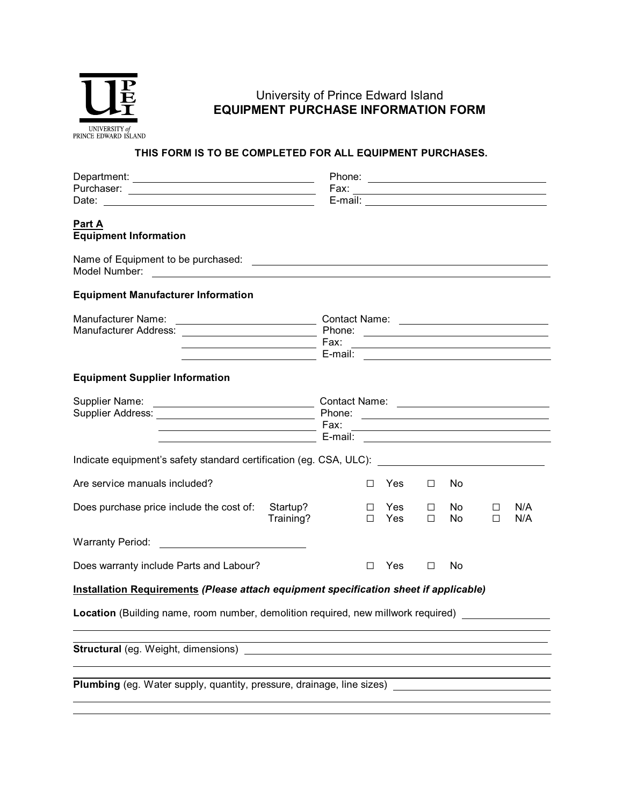

## University of Prince Edward Island **EQUIPMENT PURCHASE INFORMATION FORM**

## **THIS FORM IS TO BE COMPLETED FOR ALL EQUIPMENT PURCHASES.**

|                                                                                                                                                                                              |                                                                                                                       | Fax:                                                                        |                  |            |             |            |             | <u> 1989 - Johann Stein, mars an deutscher Stein und der Stein und der Stein und der Stein und der Stein und der</u>                                                                                                                                                                                                                                                 |
|----------------------------------------------------------------------------------------------------------------------------------------------------------------------------------------------|-----------------------------------------------------------------------------------------------------------------------|-----------------------------------------------------------------------------|------------------|------------|-------------|------------|-------------|----------------------------------------------------------------------------------------------------------------------------------------------------------------------------------------------------------------------------------------------------------------------------------------------------------------------------------------------------------------------|
|                                                                                                                                                                                              |                                                                                                                       |                                                                             |                  |            |             |            |             |                                                                                                                                                                                                                                                                                                                                                                      |
| Part A<br><b>Equipment Information</b>                                                                                                                                                       |                                                                                                                       |                                                                             |                  |            |             |            |             |                                                                                                                                                                                                                                                                                                                                                                      |
| Name of Equipment to be purchased:                                                                                                                                                           | <u> 1980 - Johann Barbara, martin amerikan basar dan berasal dan berasal dalam basar dalam basar dalam basar dala</u> |                                                                             |                  |            |             |            |             |                                                                                                                                                                                                                                                                                                                                                                      |
| <b>Equipment Manufacturer Information</b>                                                                                                                                                    |                                                                                                                       |                                                                             |                  |            |             |            |             |                                                                                                                                                                                                                                                                                                                                                                      |
| Manufacturer Name:<br><u> 1990 - Johann Barbara, martin amerikan ba</u>                                                                                                                      |                                                                                                                       | Contact Name: <u>_________________________</u><br>Phone:<br>Fax:<br>E-mail: |                  |            |             |            |             |                                                                                                                                                                                                                                                                                                                                                                      |
| <b>Equipment Supplier Information</b>                                                                                                                                                        |                                                                                                                       |                                                                             |                  |            |             |            |             |                                                                                                                                                                                                                                                                                                                                                                      |
| Supplier Name:<br><u> 2000 - John Stone, Amerikaansk politiker (</u><br><u> 1980 - Johann Barn, mars ann an t-Amhain Aonaich an t-Aonaich an t-Aonaich ann an t-Aonaich ann an t-Aonaich</u> |                                                                                                                       | Phone:<br>Fax:<br>E-mail:                                                   |                  |            |             |            |             | <u> Alexandria de la contrada de la contrada de la contrada de la contrada de la contrada de la contrada de la c</u><br><u> 1989 - Johann Barn, mars ann an t-Amhain Aonaich an t-Aonaich an t-Aonaich ann an t-Aonaich ann an t-Aonaich</u><br><u> Alexandria de la contrada de la contrada de la contrada de la contrada de la contrada de la contrada de la c</u> |
| Indicate equipment's safety standard certification (eg. CSA, ULC): ________________________________                                                                                          |                                                                                                                       |                                                                             |                  |            |             |            |             |                                                                                                                                                                                                                                                                                                                                                                      |
| Are service manuals included?                                                                                                                                                                |                                                                                                                       |                                                                             | П                | Yes        | □           | No         |             |                                                                                                                                                                                                                                                                                                                                                                      |
| Does purchase price include the cost of:                                                                                                                                                     | Startup?<br>Training?                                                                                                 |                                                                             | $\Box$<br>$\Box$ | Yes<br>Yes | □<br>$\Box$ | No.<br>No. | □<br>$\Box$ | N/A<br>N/A                                                                                                                                                                                                                                                                                                                                                           |
| <b>Warranty Period:</b>                                                                                                                                                                      |                                                                                                                       |                                                                             |                  |            |             |            |             |                                                                                                                                                                                                                                                                                                                                                                      |
| Does warranty include Parts and Labour?                                                                                                                                                      |                                                                                                                       |                                                                             | П.               | Yes        | □           | No         |             |                                                                                                                                                                                                                                                                                                                                                                      |
| Installation Requirements (Please attach equipment specification sheet if applicable)                                                                                                        |                                                                                                                       |                                                                             |                  |            |             |            |             |                                                                                                                                                                                                                                                                                                                                                                      |
| Location (Building name, room number, demolition required, new millwork required)                                                                                                            |                                                                                                                       |                                                                             |                  |            |             |            |             |                                                                                                                                                                                                                                                                                                                                                                      |
| <b>Structural</b> (eg. Weight, dimensions)                                                                                                                                                   |                                                                                                                       |                                                                             |                  |            |             |            |             |                                                                                                                                                                                                                                                                                                                                                                      |
| Plumbing (eg. Water supply, quantity, pressure, drainage, line sizes)                                                                                                                        |                                                                                                                       |                                                                             |                  |            |             |            |             |                                                                                                                                                                                                                                                                                                                                                                      |
|                                                                                                                                                                                              |                                                                                                                       |                                                                             |                  |            |             |            |             |                                                                                                                                                                                                                                                                                                                                                                      |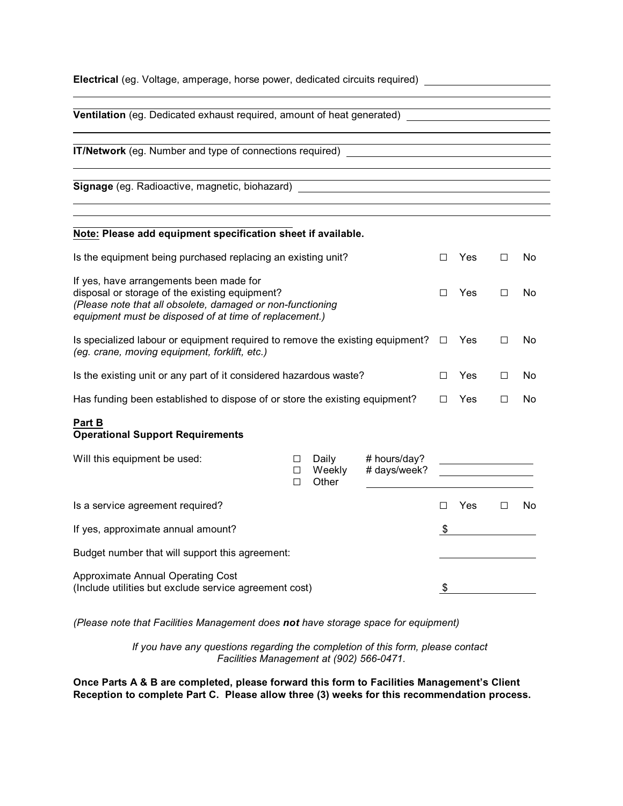| <b>Electrical</b> (eg. Voltage, amperage, horse power, dedicated circuits required)                                                                                                                               |             |                          |                              |        |            |   |    |
|-------------------------------------------------------------------------------------------------------------------------------------------------------------------------------------------------------------------|-------------|--------------------------|------------------------------|--------|------------|---|----|
| Ventilation (eg. Dedicated exhaust required, amount of heat generated) ____________________________                                                                                                               |             |                          |                              |        |            |   |    |
| IT/Network (eg. Number and type of connections required) _______________________                                                                                                                                  |             |                          |                              |        |            |   |    |
| Signage (eg. Radioactive, magnetic, biohazard) _________________________________                                                                                                                                  |             |                          |                              |        |            |   |    |
| Note: Please add equipment specification sheet if available.                                                                                                                                                      |             |                          |                              |        |            |   |    |
| Is the equipment being purchased replacing an existing unit?                                                                                                                                                      |             |                          |                              |        | Yes        | □ | No |
| If yes, have arrangements been made for<br>disposal or storage of the existing equipment?<br>(Please note that all obsolete, damaged or non-functioning<br>equipment must be disposed of at time of replacement.) |             |                          |                              |        | <b>Yes</b> | □ | No |
| Is specialized labour or equipment required to remove the existing equipment?<br>(eg. crane, moving equipment, forklift, etc.)                                                                                    |             |                          |                              |        | Yes        | П | No |
| Is the existing unit or any part of it considered hazardous waste?                                                                                                                                                |             |                          |                              |        | <b>Yes</b> | П | No |
| Has funding been established to dispose of or store the existing equipment?                                                                                                                                       |             |                          |                              | $\Box$ | <b>Yes</b> | □ | No |
| Part B<br><b>Operational Support Requirements</b>                                                                                                                                                                 |             |                          |                              |        |            |   |    |
| Will this equipment be used:                                                                                                                                                                                      | □<br>□<br>П | Daily<br>Weekly<br>Other | # hours/day?<br># days/week? |        |            |   |    |
| Is a service agreement required?                                                                                                                                                                                  |             |                          |                              | П      | Yes        | □ | No |
| If yes, approximate annual amount?                                                                                                                                                                                |             |                          |                              |        |            |   |    |
| Budget number that will support this agreement:                                                                                                                                                                   |             |                          |                              |        |            |   |    |
| Approximate Annual Operating Cost<br>(Include utilities but exclude service agreement cost)                                                                                                                       |             |                          |                              |        |            |   |    |

*(Please note that Facilities Management does not have storage space for equipment)*

*If you have any questions regarding the completion of this form, please contact Facilities Management at (902) 566-0471*.

**Once Parts A & B are completed, please forward this form to Facilities Management's Client Reception to complete Part C. Please allow three (3) weeks for this recommendation process.**